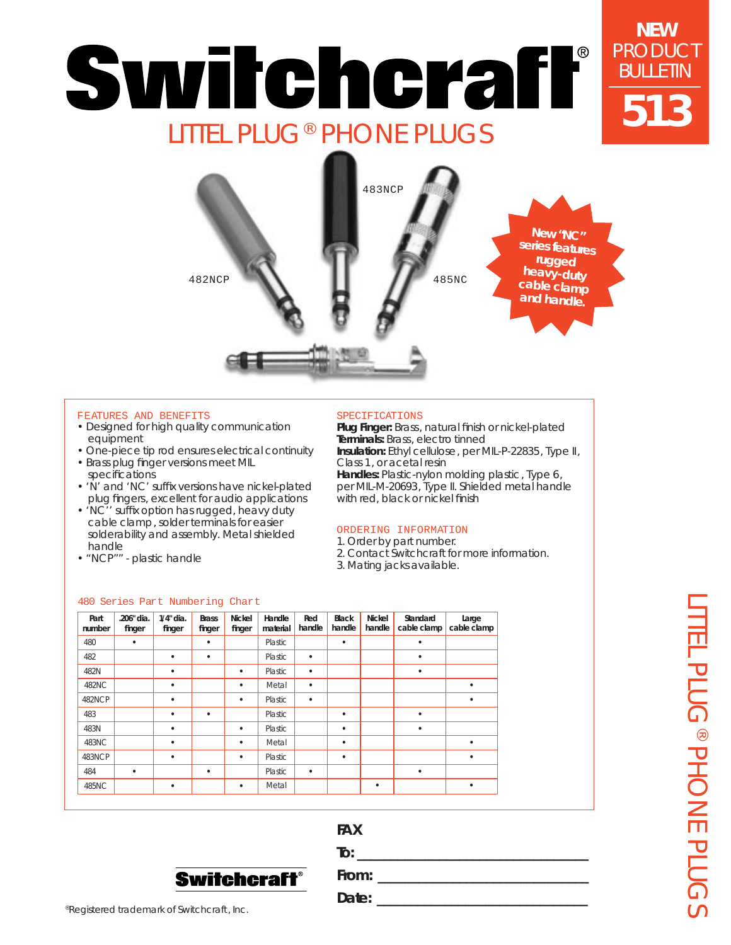# **NEW** PRODUCT Switchcraff BULLETIN **513** LITTEL PLUG® PHONE PLUGS



### FEATURES AND BENEFITS

- Designed for high quality communication equipment
- One-piece tip rod ensures electrical continuity
- Brass plug finger versions meet MIL
- specifications • 'N' and 'NC' suffix versions have nickel-plated
- plug fingers, excellent for audio applications
- 'NC'' suffix option has rugged, heavy duty cable clamp, solder terminals for easier solderability and assembly. Metal shielded handle
- "NCP"" plastic handle

### SPECIFICATIONS

**Plug Finger:** Brass, natural finish or nickel-plated **Terminals:** Brass, electro tinned **Insulation:** Ethyl cellulose, per MIL-P-22835, Type II, Class 1, or acetal resin **Handles:** Plastic-nylon molding plastic, Type 6, per MIL-M-20693, Type II. Shielded metal handle with red, black or nickel finish

### ORDERING INFORMATION

- 1. Order by part number.
- 2. Contact Switchcraft for more information.
- 3. Mating jacks available.

### 480 Series Part Numbering Chart

| Part<br>number | .206" dia.<br>finger | $1/4"$ dia.<br>finger | <b>Brass</b><br>finger | <b>Nickel</b><br>finger | Handle<br>material | Red<br>handle | <b>Black</b><br>handle | <b>Nickel</b><br>handle | Standard<br>cable clamp | Large<br>cable clamp |
|----------------|----------------------|-----------------------|------------------------|-------------------------|--------------------|---------------|------------------------|-------------------------|-------------------------|----------------------|
| 480            | ٠                    |                       | ٠                      |                         | Plastic            |               | $\bullet$              |                         | ٠                       |                      |
| 482            |                      | ٠                     | ٠                      |                         | Plastic            | ٠             |                        |                         | ٠                       |                      |
| 482N           |                      | ٠                     |                        | ٠                       | Plastic            | ٠             |                        |                         | ٠                       |                      |
| 482NC          |                      | ٠                     |                        | ٠                       | Metal              | $\bullet$     |                        |                         |                         | ٠                    |
| 482NCP         |                      | ٠                     |                        | $\bullet$               | Plastic            | ٠             |                        |                         |                         | ٠                    |
| 483            |                      | ٠                     | ٠                      |                         | Plastic            |               | $\bullet$              |                         | ٠                       |                      |
| 483N           |                      | ٠                     |                        | ٠                       | Plastic            |               | $\bullet$              |                         | $\bullet$               |                      |
| 483NC          |                      | ٠                     |                        | ٠                       | Metal              |               | ٠                      |                         |                         | ٠                    |
| 483NCP         |                      | ٠                     |                        | ٠                       | Plastic            |               | $\bullet$              |                         |                         | ٠                    |
| 484            | ٠                    |                       | ٠                      |                         | Plastic            | ٠             |                        |                         | ٠                       |                      |
| 485NC          |                      | ٠                     |                        | ٠                       | Metal              |               |                        | ٠                       |                         | ٠                    |

## **FAX**



**From: \_\_\_\_\_\_\_\_\_\_\_\_\_\_\_\_\_\_\_\_\_\_\_\_\_\_\_\_\_\_\_**

**To:**  $\blacksquare$ 

**Date: \_\_\_\_\_\_\_\_\_\_\_\_\_\_\_\_\_\_\_\_\_\_\_\_\_\_\_\_\_\_\_**